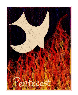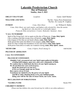# **Lakeside Presbyterian Church**

**Day of Pentecost Sunday, June 5, 2022**

# **ORGAN VOLUNTARY** *Larghetto* Gustav Adolf Merkel

**WELCOME AND NEWS** The Rev. Nancy Ross-Zimmerman The Rev. Dr. Louisa W. Umphres

**INTROIT** *Come, Holy Ghost* arr. William H. Mathis

*Come, Holy Ghost, our souls inspire, and lighten with celestial fire: thou the anointing Spirit art, who dost thy sev'n-fold gifts impart. Praise for thine eternal favor, Creator, Redeemer, Sustainer. Amen.*

# **\*CALL TO WORSHIP**

Spirit of the living God, visit us again on this day of Pentecost. **Come, Holy Spirit.** Like a rushing wind that sweeps away all barriers, **come, Holy Spirit.** Like tongues of fire that set our hearts aflame, **come, Holy Spirit.** With speech that unites the Babel of our tongues, **come, Holy Spirit.** With love that overlaps the boundaries of race and nation, **come, Holy Spirit.** With power from above to make our weakness strong, **come, Holy Spirit. Amen.**

**\*HYMN #280** *Come, O Spirit, Dwell Among Us* EBENEZER

# **PRAYER OF ADORATION**

# **CALL TO CONFESSION**

# **PRAYER OF CONFESSION**

**Almighty God, you poured out your Spirit upon gathered disciples creating bold tongues, open ears, and a new community of faith. We confess that we hold back the force of your Spirit among us. We do not listen for your word of grace, speak the good news of your love, or live as a people made one in Christ. Have mercy on us, O God. Transform our timid lives by the power of your Spirit and fill us with a flaming desire to be your faithful people, doing your will for the sake of Jesus Christ, our Lord. Amen.** 

# **DECLARATION OF FORGIVENESS**

#### **\*GLORIA PATRI** Hymn #581

#### **CHILDREN'S MOMENT**

(Please note that children who come forward may be visible to our online audiences.)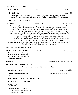### **OFFERING INVITATION**

**\*DOXOLOGY** Hymn #606

**Praise God, from whom all blessings flow; praise God, all creatures here below; praise God above, ye heavenly host; praise Father, Son, and Holy Ghost. Amen.**

#### **\*PRAYER OF DEDICATION**

**ANTHEM** *Spirit, Come!* Evelyn R. Larter

*Spirit, come, bring your Fire, all your people inspire. Holy wind, Holy fire, show the Savior's glory, tell the ancient story! Spirit, come in wind! Spirit, come in flame! Come in wind, come in flame, tell again the story! Spirit, come in the flame, to your people proclaim: Christ our God, man became, that we may inherit God the Holy Spirit. Spirit, come in wind! Spirit, come in flame! Come in wind, come in flame, tell again the story! Spirit, come, bring your Light! We would serve you aright. Through your gifts grant insight to your congregation, blessing ev'ry nation. Spirit, come in wind! Spirit, come in flame! Come in wind, come in flame, tell again the story! Holy One, Spirit blest, ever our welcome guest, be all honor addressed, endless praise be given to the Lord in heaven. Spirit, come in wind! Spirit, come in flame! Come in wind, come in flame, lead us on to glory!*

# **PRAYER FOR ILLUMINATION**

## **NEW TESTMENT READING** Acts 2:1-13 (N.T. p.119)

For the Word of God in scripture, For the Word of God among us. For the Word of God within us. **Thanks be to God.**

#### **SERMON** The Rev. Dr. Louisa W. Umphres

# **THE SACRAMENT OF BAPTISM**

Emma Kathryn Adams and John William Adams

#### **PRESENTATION** Jonathan Hart, Elder

\***PROFESSION OF FAITH** Apostle's Creed (Hymnal p. 17)

# **\*THANKSGIVING OVER THE WATER**

# **BAPTISM AND ANOINTING**

# **WELCOME**

# **\*PASSING THE PEACE**

The Peace of Christ be with you. **And also with you.**

**OFFERTORY** *Offertoire* Léon Boëllmann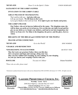# **SACRAMENT OF THE LORD'S SUPPER**

# **INVITATION TO THE LORD'S TABLE**

# **GREAT PRAYER OF THANKSGIVING**

The Lord be with you. **And also with you.** Lift up your hearts. **We lift them to the Lord.** Let us give thanks to the Lord our God. **It is right to give our thanks and praise.**

# **THE LORD'S PRAYER**

**Our Father, who art in heaven, hallowed be thy name. Thy kingdom come, thy will be done, on earth as it is in heaven. Give us this day our daily bread and forgive us our debts as we forgive our debtors, and lead us not into temptation, but deliver us from evil. For thine is the kingdom, the power, and the glory, forever. Amen.**

# **BREAKING OF THE BREAD and COMMUNION OF THE PEOPLE**

# **PRAYER AFTER COMMUNION**

**\*HYMN #295** *Go to the World!* SINE NOMINE

# **\*CHARGE AND BENEDICTION**

# **\*OUR BLESSING TO EACH OTHER** AR HYD Y NOS

**May the Lord, our gracious Father, bless you this day; Give you peace and hope and courage, along your way. May you stay within God's keeping, in your waking, in your sleeping. In your joy and in your weeping: God be with you.**

**POSTLUDE** *Toccata in G Minor* Johann Pachelbel

*\*Those who are able, please stand*

Permission to podcast/stream the music in this service obtained from ONE LICENSE with license #A-715941. All rights reserved.



**Lakeside Presbyterian Church, Inc.** 

**Worship · Learn · Serve** 2690 Dixie Highway, Lakeside Park, KY 41017

Donate

**Church telephone** 859-341-1963 **Church Office:** Monday through Thursday **10:00 a.m. to 2:00 p.m. www.lakesidechurch.org · lakeside@lakesidechurch.org**



News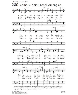**GIFT OF THE HOLY SPIRIT** 



This 20th-century text was written by a Presbyterian layperson and poet, who in her later years became interested in writing hymns for the seasons of the church year and prepared a collection of them for her congregation. It pairs effectively with this sturdy Welsh tune.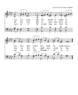GIFT OF THE HOLY SPIRIT

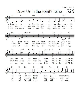**LORD'S SUPPER**